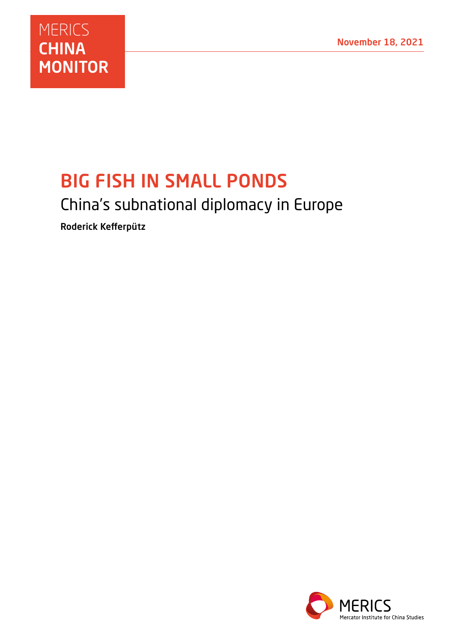

# BIG FISH IN SMALL PONDS

## China's subnational diplomacy in Europe

Roderick Kefferpütz

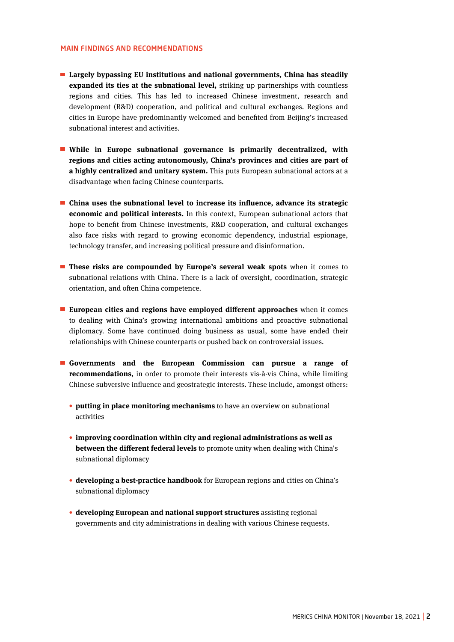## MAIN FINDINGS AND RECOMMENDATIONS

- **Largely bypassing EU institutions and national governments, China has steadily expanded its ties at the subnational level,** striking up partnerships with countless regions and cities. This has led to increased Chinese investment, research and development (R&D) cooperation, and political and cultural exchanges. Regions and cities in Europe have predominantly welcomed and benefited from Beijing's increased subnational interest and activities.
- **While in Europe subnational governance is primarily decentralized, with regions and cities acting autonomously, China's provinces and cities are part of a highly centralized and unitary system.** This puts European subnational actors at a disadvantage when facing Chinese counterparts.
- **China uses the subnational level to increase its influence, advance its strategic economic and political interests.** In this context, European subnational actors that hope to benefit from Chinese investments, R&D cooperation, and cultural exchanges also face risks with regard to growing economic dependency, industrial espionage, technology transfer, and increasing political pressure and disinformation.
- **These risks are compounded by Europe's several weak spots** when it comes to subnational relations with China. There is a lack of oversight, coordination, strategic orientation, and often China competence.
- **European cities and regions have employed different approaches** when it comes to dealing with China's growing international ambitions and proactive subnational diplomacy. Some have continued doing business as usual, some have ended their relationships with Chinese counterparts or pushed back on controversial issues.
- **Governments and the European Commission can pursue a range of recommendations,** in order to promote their interests vis-à-vis China, while limiting Chinese subversive influence and geostrategic interests. These include, amongst others:
	- **putting in place monitoring mechanisms** to have an overview on subnational activities
	- **improving coordination within city and regional administrations as well as between the different federal levels** to promote unity when dealing with China's subnational diplomacy
	- **developing a best-practice handbook** for European regions and cities on China's subnational diplomacy
	- **developing European and national support structures** assisting regional governments and city administrations in dealing with various Chinese requests.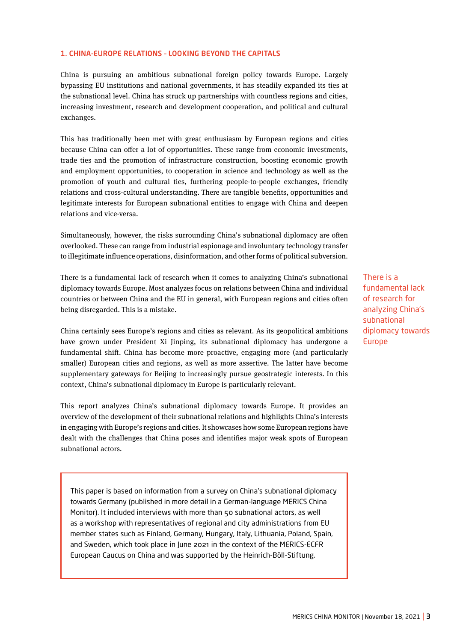## 1. CHINA-EUROPE RELATIONS – LOOKING BEYOND THE CAPITALS

China is pursuing an ambitious subnational foreign policy towards Europe. Largely bypassing EU institutions and national governments, it has steadily expanded its ties at the subnational level. China has struck up partnerships with countless regions and cities, increasing investment, research and development cooperation, and political and cultural exchanges.

This has traditionally been met with great enthusiasm by European regions and cities because China can offer a lot of opportunities. These range from economic investments, trade ties and the promotion of infrastructure construction, boosting economic growth and employment opportunities, to cooperation in science and technology as well as the promotion of youth and cultural ties, furthering people-to-people exchanges, friendly relations and cross-cultural understanding. There are tangible benefits, opportunities and legitimate interests for European subnational entities to engage with China and deepen relations and vice-versa.

Simultaneously, however, the risks surrounding China's subnational diplomacy are often overlooked. These can range from industrial espionage and involuntary technology transfer to illegitimate influence operations, disinformation, and other forms of political subversion.

There is a fundamental lack of research when it comes to analyzing China's subnational diplomacy towards Europe. Most analyzes focus on relations between China and individual countries or between China and the EU in general, with European regions and cities often being disregarded. This is a mistake.

China certainly sees Europe's regions and cities as relevant. As its geopolitical ambitions have grown under President Xi Jinping, its subnational diplomacy has undergone a fundamental shift. China has become more proactive, engaging more (and particularly smaller) European cities and regions, as well as more assertive. The latter have become supplementary gateways for Beijing to increasingly pursue geostrategic interests. In this context, China's subnational diplomacy in Europe is particularly relevant.

This report analyzes China's subnational diplomacy towards Europe. It provides an overview of the development of their subnational relations and highlights China's interests in engaging with Europe's regions and cities. It showcases how some European regions have dealt with the challenges that China poses and identifies major weak spots of European subnational actors.

This paper is based on information from a survey on China's subnational diplomacy towards Germany (published in more detail in a German-language MERICS China Monitor). It included interviews with more than 50 subnational actors, as well as a workshop with representatives of regional and city administrations from EU member states such as Finland, Germany, Hungary, Italy, Lithuania, Poland, Spain, and Sweden, which took place in June 2021 in the context of the MERICS-ECFR European Caucus on China and was supported by the Heinrich-Böll-Stiftung.

There is a fundamental lack of research for analyzing China's subnational diplomacy towards Europe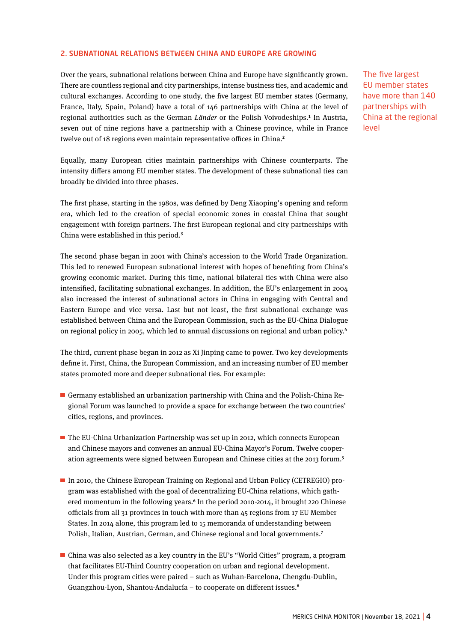## 2. SUBNATIONAL RELATIONS BETWEEN CHINA AND EUROPE ARE GROWING

Over the years, subnational relations between China and Europe have significantly grown. There are countless regional and city partnerships, intense business ties, and academic and cultural exchanges. According to one study, the five largest EU member states (Germany, France, Italy, Spain, Poland) have a total of 146 partnerships with China at the level of regional authorities such as the German *Länder* or the Polish Voivodeships.**<sup>1</sup>** In Austria, seven out of nine regions have a partnership with a Chinese province, while in France twelve out of 18 regions even maintain representative offices in China.**<sup>2</sup>**

Equally, many European cities maintain partnerships with Chinese counterparts. The intensity differs among EU member states. The development of these subnational ties can broadly be divided into three phases.

The first phase, starting in the 1980s, was defined by Deng Xiaoping's opening and reform era, which led to the creation of special economic zones in coastal China that sought engagement with foreign partners. The first European regional and city partnerships with China were established in this period.**<sup>3</sup>**

The second phase began in 2001 with China's accession to the World Trade Organization. This led to renewed European subnational interest with hopes of benefiting from China's growing economic market. During this time, national bilateral ties with China were also intensified, facilitating subnational exchanges. In addition, the EU's enlargement in 2004 also increased the interest of subnational actors in China in engaging with Central and Eastern Europe and vice versa. Last but not least, the first subnational exchange was established between China and the European Commission, such as the EU-China Dialogue on regional policy in 2005, which led to annual discussions on regional and urban policy.**<sup>4</sup>**

The third, current phase began in 2012 as Xi Jinping came to power. Two key developments define it. First, China, the European Commission, and an increasing number of EU member states promoted more and deeper subnational ties. For example:

- Germany established an urbanization partnership with China and the Polish-China Regional Forum was launched to provide a space for exchange between the two countries' cities, regions, and provinces.
- $\blacksquare$  The EU-China Urbanization Partnership was set up in 2012, which connects European and Chinese mayors and convenes an annual EU-China Mayor's Forum. Twelve cooperation agreements were signed between European and Chinese cities at the 2013 forum.**<sup>5</sup>**
- In 2010, the Chinese European Training on Regional and Urban Policy (CETREGIO) program was established with the goal of decentralizing EU-China relations, which gathered momentum in the following years.**<sup>6</sup>** In the period 2010-2014, it brought 220 Chinese officials from all 31 provinces in touch with more than 45 regions from 17 EU Member States. In 2014 alone, this program led to 15 memoranda of understanding between Polish, Italian, Austrian, German, and Chinese regional and local governments.**<sup>7</sup>**
- China was also selected as a key country in the EU's "World Cities" program, a program that facilitates EU-Third Country cooperation on urban and regional development. Under this program cities were paired – such as Wuhan-Barcelona, Chengdu-Dublin, Guangzhou-Lyon, Shantou-Andalucía – to cooperate on different issues.**<sup>8</sup>**

The five largest EU member states have more than 140 partnerships with China at the regional level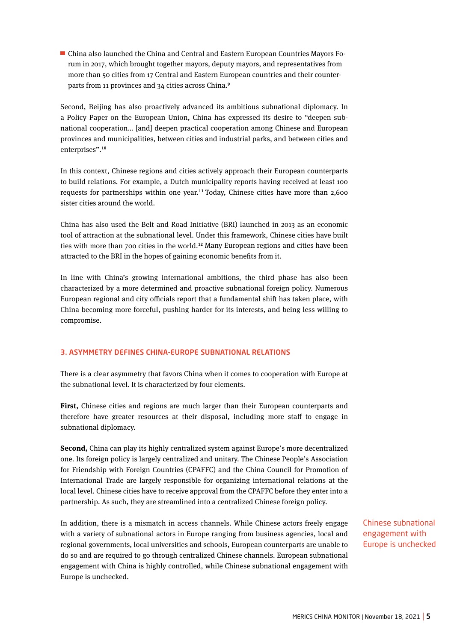China also launched the China and Central and Eastern European Countries Mayors Forum in 2017, which brought together mayors, deputy mayors, and representatives from more than 50 cities from 17 Central and Eastern European countries and their counterparts from 11 provinces and 34 cities across China.**<sup>9</sup>**

Second, Beijing has also proactively advanced its ambitious subnational diplomacy. In a Policy Paper on the European Union, China has expressed its desire to "deepen subnational cooperation… [and] deepen practical cooperation among Chinese and European provinces and municipalities, between cities and industrial parks, and between cities and enterprises".**<sup>10</sup>**

In this context, Chinese regions and cities actively approach their European counterparts to build relations. For example, a Dutch municipality reports having received at least 100 requests for partnerships within one year.**<sup>11</sup>**Today, Chinese cities have more than 2,600 sister cities around the world.

China has also used the Belt and Road Initiative (BRI) launched in 2013 as an economic tool of attraction at the subnational level. Under this framework, Chinese cities have built ties with more than 700 cities in the world.**<sup>12</sup>** Many European regions and cities have been attracted to the BRI in the hopes of gaining economic benefits from it.

In line with China's growing international ambitions, the third phase has also been characterized by a more determined and proactive subnational foreign policy. Numerous European regional and city officials report that a fundamental shift has taken place, with China becoming more forceful, pushing harder for its interests, and being less willing to compromise.

## 3. ASYMMETRY DEFINES CHINA-EUROPE SUBNATIONAL RELATIONS

There is a clear asymmetry that favors China when it comes to cooperation with Europe at the subnational level. It is characterized by four elements.

**First,** Chinese cities and regions are much larger than their European counterparts and therefore have greater resources at their disposal, including more staff to engage in subnational diplomacy.

**Second,** China can play its highly centralized system against Europe's more decentralized one. Its foreign policy is largely centralized and unitary. The Chinese People's Association for Friendship with Foreign Countries (CPAFFC) and the China Council for Promotion of International Trade are largely responsible for organizing international relations at the local level. Chinese cities have to receive approval from the CPAFFC before they enter into a partnership. As such, they are streamlined into a centralized Chinese foreign policy.

In addition, there is a mismatch in access channels. While Chinese actors freely engage with a variety of subnational actors in Europe ranging from business agencies, local and regional governments, local universities and schools, European counterparts are unable to do so and are required to go through centralized Chinese channels. European subnational engagement with China is highly controlled, while Chinese subnational engagement with Europe is unchecked.

Chinese subnational engagement with Europe is unchecked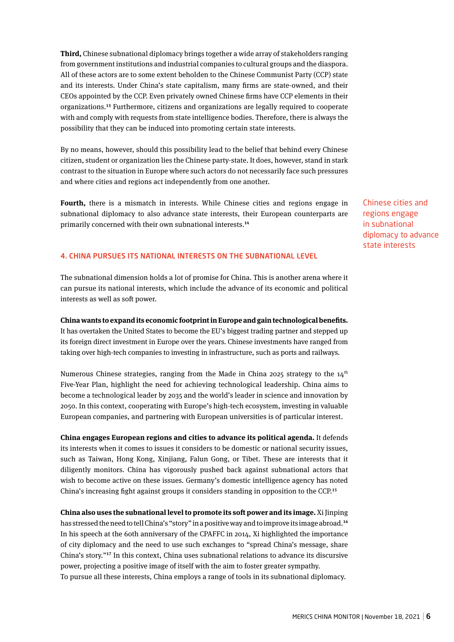**Third,** Chinese subnational diplomacy brings together a wide array of stakeholders ranging from government institutions and industrial companies to cultural groups and the diaspora. All of these actors are to some extent beholden to the Chinese Communist Party (CCP) state and its interests. Under China's state capitalism, many firms are state-owned, and their CEOs appointed by the CCP. Even privately owned Chinese firms have CCP elements in their organizations.**<sup>13</sup>** Furthermore, citizens and organizations are legally required to cooperate with and comply with requests from state intelligence bodies. Therefore, there is always the possibility that they can be induced into promoting certain state interests.

By no means, however, should this possibility lead to the belief that behind every Chinese citizen, student or organization lies the Chinese party-state. It does, however, stand in stark contrast to the situation in Europe where such actors do not necessarily face such pressures and where cities and regions act independently from one another.

**Fourth,** there is a mismatch in interests. While Chinese cities and regions engage in subnational diplomacy to also advance state interests, their European counterparts are primarily concerned with their own subnational interests.**<sup>14</sup>**

Chinese cities and regions engage in subnational diplomacy to advance state interests

## 4. CHINA PURSUES ITS NATIONAL INTERESTS ON THE SUBNATIONAL LEVEL

The subnational dimension holds a lot of promise for China. This is another arena where it can pursue its national interests, which include the advance of its economic and political interests as well as soft power.

**China wants to expand its economic footprint in Europe and gain technological benefits.**  It has overtaken the United States to become the EU's biggest trading partner and stepped up its foreign direct investment in Europe over the years. Chinese investments have ranged from taking over high-tech companies to investing in infrastructure, such as ports and railways.

Numerous Chinese strategies, ranging from the Made in China 2025 strategy to the  $14<sup>th</sup>$ Five-Year Plan, highlight the need for achieving technological leadership. China aims to become a technological leader by 2035 and the world's leader in science and innovation by 2050. In this context, cooperating with Europe's high-tech ecosystem, investing in valuable European companies, and partnering with European universities is of particular interest.

**China engages European regions and cities to advance its political agenda.** It defends its interests when it comes to issues it considers to be domestic or national security issues, such as Taiwan, Hong Kong, Xinjiang, Falun Gong, or Tibet. These are interests that it diligently monitors. China has vigorously pushed back against subnational actors that wish to become active on these issues. Germany's domestic intelligence agency has noted China's increasing fight against groups it considers standing in opposition to the CCP.**<sup>15</sup>**

**China also uses the subnational level to promote its soft power and its image.** Xi Jinping has stressed the need to tell China's "story" in a positive way and to improve its image abroad.**<sup>16</sup>** In his speech at the 60th anniversary of the CPAFFC in 2014, Xi highlighted the importance of city diplomacy and the need to use such exchanges to "spread China's message, share China's story."**<sup>17</sup>** In this context, China uses subnational relations to advance its discursive power, projecting a positive image of itself with the aim to foster greater sympathy. To pursue all these interests, China employs a range of tools in its subnational diplomacy.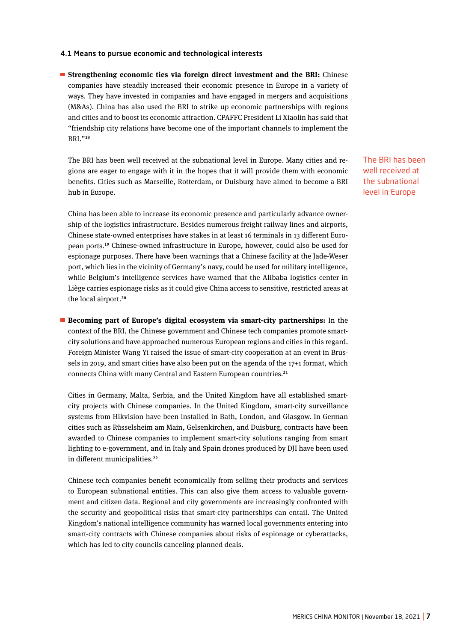## 4.1 Means to pursue economic and technological interests

 **Strengthening economic ties via foreign direct investment and the BRI:** Chinese companies have steadily increased their economic presence in Europe in a variety of ways. They have invested in companies and have engaged in mergers and acquisitions (M&As). China has also used the BRI to strike up economic partnerships with regions and cities and to boost its economic attraction. CPAFFC President Li Xiaolin has said that "friendship city relations have become one of the important channels to implement the BRI."**<sup>18</sup>**

The BRI has been well received at the subnational level in Europe. Many cities and regions are eager to engage with it in the hopes that it will provide them with economic benefits. Cities such as Marseille, Rotterdam, or Duisburg have aimed to become a BRI hub in Europe.

China has been able to increase its economic presence and particularly advance ownership of the logistics infrastructure. Besides numerous freight railway lines and airports, Chinese state-owned enterprises have stakes in at least 16 terminals in 13 different European ports.**<sup>19</sup>** Chinese-owned infrastructure in Europe, however, could also be used for espionage purposes. There have been warnings that a Chinese facility at the Jade-Weser port, which lies in the vicinity of Germany's navy, could be used for military intelligence, while Belgium's intelligence services have warned that the Alibaba logistics center in Liège carries espionage risks as it could give China access to sensitive, restricted areas at the local airport.**<sup>20</sup>**

 **Becoming part of Europe's digital ecosystem via smart-city partnerships:** In the context of the BRI, the Chinese government and Chinese tech companies promote smartcity solutions and have approached numerous European regions and cities in this regard. Foreign Minister Wang Yi raised the issue of smart-city cooperation at an event in Brussels in 2019, and smart cities have also been put on the agenda of the 17+1 format, which connects China with many Central and Eastern European countries.**<sup>21</sup>**

Cities in Germany, Malta, Serbia, and the United Kingdom have all established smartcity projects with Chinese companies. In the United Kingdom, smart-city surveillance systems from Hikvision have been installed in Bath, London, and Glasgow. In German cities such as Rüsselsheim am Main, Gelsenkirchen, and Duisburg, contracts have been awarded to Chinese companies to implement smart-city solutions ranging from smart lighting to e-government, and in Italy and Spain drones produced by DJI have been used in different municipalities.**<sup>22</sup>**

Chinese tech companies benefit economically from selling their products and services to European subnational entities. This can also give them access to valuable government and citizen data. Regional and city governments are increasingly confronted with the security and geopolitical risks that smart-city partnerships can entail. The United Kingdom's national intelligence community has warned local governments entering into smart-city contracts with Chinese companies about risks of espionage or cyberattacks, which has led to city councils canceling planned deals.

The BRI has been well received at the subnational level in Europe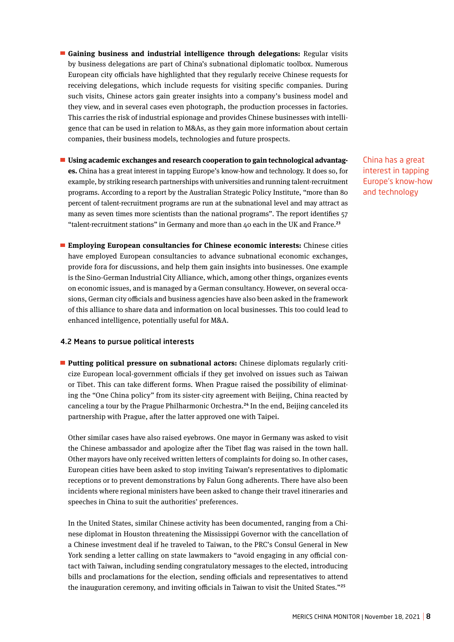- **Gaining business and industrial intelligence through delegations:** Regular visits by business delegations are part of China's subnational diplomatic toolbox. Numerous European city officials have highlighted that they regularly receive Chinese requests for receiving delegations, which include requests for visiting specific companies. During such visits, Chinese actors gain greater insights into a company's business model and they view, and in several cases even photograph, the production processes in factories. This carries the risk of industrial espionage and provides Chinese businesses with intelligence that can be used in relation to M&As, as they gain more information about certain companies, their business models, technologies and future prospects.
- **Using academic exchanges and research cooperation to gain technological advantages.** China has a great interest in tapping Europe's know-how and technology. It does so, for example, by striking research partnerships with universities and running talent-recruitment programs. According to a report by the Australian Strategic Policy Institute, "more than 80 percent of talent-recruitment programs are run at the subnational level and may attract as many as seven times more scientists than the national programs". The report identifies 57 "talent-recruitment stations" in Germany and more than 40 each in the UK and France.**<sup>23</sup>**

China has a great interest in tapping Europe's know-how and technology

 **Employing European consultancies for Chinese economic interests:** Chinese cities have employed European consultancies to advance subnational economic exchanges, provide fora for discussions, and help them gain insights into businesses. One example is the Sino-German Industrial City Alliance, which, among other things, organizes events on economic issues, and is managed by a German consultancy. However, on several occasions, German city officials and business agencies have also been asked in the framework of this alliance to share data and information on local businesses. This too could lead to enhanced intelligence, potentially useful for M&A.

#### 4.2 Means to pursue political interests

**Putting political pressure on subnational actors:** Chinese diplomats regularly criticize European local-government officials if they get involved on issues such as Taiwan or Tibet. This can take different forms. When Prague raised the possibility of eliminating the "One China policy" from its sister-city agreement with Beijing, China reacted by canceling a tour by the Prague Philharmonic Orchestra.**<sup>24</sup>** In the end, Beijing canceled its partnership with Prague, after the latter approved one with Taipei.

Other similar cases have also raised eyebrows. One mayor in Germany was asked to visit the Chinese ambassador and apologize after the Tibet flag was raised in the town hall. Other mayors have only received written letters of complaints for doing so. In other cases, European cities have been asked to stop inviting Taiwan's representatives to diplomatic receptions or to prevent demonstrations by Falun Gong adherents. There have also been incidents where regional ministers have been asked to change their travel itineraries and speeches in China to suit the authorities' preferences.

In the United States, similar Chinese activity has been documented, ranging from a Chinese diplomat in Houston threatening the Mississippi Governor with the cancellation of a Chinese investment deal if he traveled to Taiwan, to the PRC's Consul General in New York sending a letter calling on state lawmakers to "avoid engaging in any official contact with Taiwan, including sending congratulatory messages to the elected, introducing bills and proclamations for the election, sending officials and representatives to attend the inauguration ceremony, and inviting officials in Taiwan to visit the United States."**<sup>25</sup>**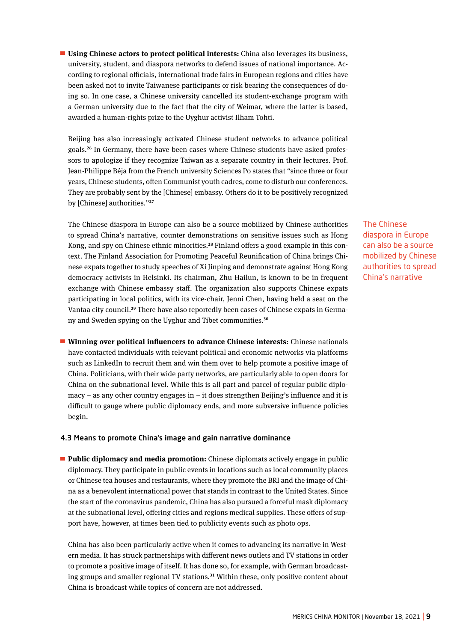**Using Chinese actors to protect political interests:** China also leverages its business, university, student, and diaspora networks to defend issues of national importance. According to regional officials, international trade fairs in European regions and cities have been asked not to invite Taiwanese participants or risk bearing the consequences of doing so. In one case, a Chinese university cancelled its student-exchange program with a German university due to the fact that the city of Weimar, where the latter is based, awarded a human-rights prize to the Uyghur activist Ilham Tohti.

Beijing has also increasingly activated Chinese student networks to advance political goals.**26** In Germany, there have been cases where Chinese students have asked professors to apologize if they recognize Taiwan as a separate country in their lectures. Prof. Jean-Philippe Béja from the French university Sciences Po states that "since three or four years, Chinese students, often Communist youth cadres, come to disturb our conferences. They are probably sent by the [Chinese] embassy. Others do it to be positively recognized by [Chinese] authorities."**<sup>27</sup>**

The Chinese diaspora in Europe can also be a source mobilized by Chinese authorities to spread China's narrative, counter demonstrations on sensitive issues such as Hong Kong, and spy on Chinese ethnic minorities.**28** Finland offers a good example in this context. The Finland Association for Promoting Peaceful Reunification of China brings Chinese expats together to study speeches of Xi Jinping and demonstrate against Hong Kong democracy activists in Helsinki. Its chairman, Zhu Hailun, is known to be in frequent exchange with Chinese embassy staff. The organization also supports Chinese expats participating in local politics, with its vice-chair, Jenni Chen, having held a seat on the Vantaa city council.**29** There have also reportedly been cases of Chinese expats in Germany and Sweden spying on the Uyghur and Tibet communities.**<sup>30</sup>**

 **Winning over political influencers to advance Chinese interests:** Chinese nationals have contacted individuals with relevant political and economic networks via platforms such as LinkedIn to recruit them and win them over to help promote a positive image of China. Politicians, with their wide party networks, are particularly able to open doors for China on the subnational level. While this is all part and parcel of regular public diplomacy – as any other country engages in – it does strengthen Beijing's influence and it is difficult to gauge where public diplomacy ends, and more subversive influence policies begin.

## 4.3 Means to promote China's image and gain narrative dominance

**Public diplomacy and media promotion:** Chinese diplomats actively engage in public diplomacy. They participate in public events in locations such as local community places or Chinese tea houses and restaurants, where they promote the BRI and the image of China as a benevolent international power that stands in contrast to the United States. Since the start of the coronavirus pandemic, China has also pursued a forceful mask diplomacy at the subnational level, offering cities and regions medical supplies. These offers of support have, however, at times been tied to publicity events such as photo ops.

China has also been particularly active when it comes to advancing its narrative in Western media. It has struck partnerships with different news outlets and TV stations in order to promote a positive image of itself. It has done so, for example, with German broadcasting groups and smaller regional TV stations.**<sup>31</sup>** Within these, only positive content about China is broadcast while topics of concern are not addressed.

The Chinese diaspora in Europe can also be a source mobilized by Chinese authorities to spread China's narrative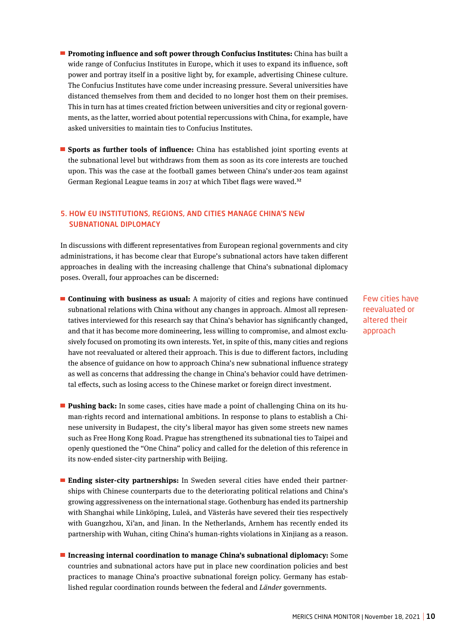- **Promoting influence and soft power through Confucius Institutes:** China has built a wide range of Confucius Institutes in Europe, which it uses to expand its influence, soft power and portray itself in a positive light by, for example, advertising Chinese culture. The Confucius Institutes have come under increasing pressure. Several universities have distanced themselves from them and decided to no longer host them on their premises. This in turn has at times created friction between universities and city or regional governments, as the latter, worried about potential repercussions with China, for example, have asked universities to maintain ties to Confucius Institutes.
- **Sports as further tools of influence:** China has established joint sporting events at the subnational level but withdraws from them as soon as its core interests are touched upon. This was the case at the football games between China's under-20s team against German Regional League teams in 2017 at which Tibet flags were waved.**<sup>32</sup>**

## 5. HOW EU INSTITUTIONS, REGIONS, AND CITIES MANAGE CHINA'S NEW SUBNATIONAL DIPLOMACY

In discussions with different representatives from European regional governments and city administrations, it has become clear that Europe's subnational actors have taken different approaches in dealing with the increasing challenge that China's subnational diplomacy poses. Overall, four approaches can be discerned:

- **Continuing with business as usual:** A majority of cities and regions have continued subnational relations with China without any changes in approach. Almost all representatives interviewed for this research say that China's behavior has significantly changed, and that it has become more domineering, less willing to compromise, and almost exclusively focused on promoting its own interests. Yet, in spite of this, many cities and regions have not reevaluated or altered their approach. This is due to different factors, including the absence of guidance on how to approach China's new subnational influence strategy as well as concerns that addressing the change in China's behavior could have detrimental effects, such as losing access to the Chinese market or foreign direct investment.
- **Pushing back:** In some cases, cities have made a point of challenging China on its human-rights record and international ambitions. In response to plans to establish a Chinese university in Budapest, the city's liberal mayor has given some streets new names such as Free Hong Kong Road. Prague has strengthened its subnational ties to Taipei and openly questioned the "One China" policy and called for the deletion of this reference in its now-ended sister-city partnership with Beijing.
- **Ending sister-city partnerships:** In Sweden several cities have ended their partnerships with Chinese counterparts due to the deteriorating political relations and China's growing aggressiveness on the international stage. Gothenburg has ended its partnership with Shanghai while Linköping, Luleå, and Västerås have severed their ties respectively with Guangzhou, Xi'an, and Jinan. In the Netherlands, Arnhem has recently ended its partnership with Wuhan, citing China's human-rights violations in Xinjiang as a reason.
- **Increasing internal coordination to manage China's subnational diplomacy:** Some countries and subnational actors have put in place new coordination policies and best practices to manage China's proactive subnational foreign policy. Germany has established regular coordination rounds between the federal and *Länder* governments.

Few cities have reevaluated or altered their approach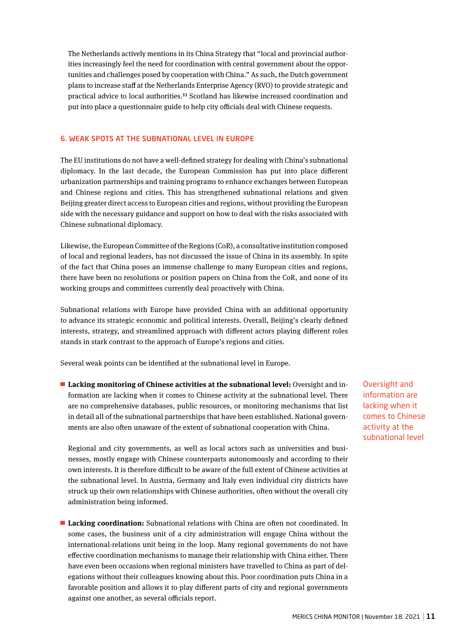The Netherlands actively mentions in its China Strategy that "local and provincial authorities increasingly feel the need for coordination with central government about the opportunities and challenges posed by cooperation with China." As such, the Dutch government plans to increase staff at the Netherlands Enterprise Agency (RVO) to provide strategic and practical advice to local authorities.**<sup>33</sup>** Scotland has likewise increased coordination and put into place a questionnaire guide to help city officials deal with Chinese requests.

## 6. WEAK SPOTS AT THE SUBNATIONAL LEVEL IN EUROPE

The EU institutions do not have a well-defined strategy for dealing with China's subnational diplomacy. In the last decade, the European Commission has put into place different urbanization partnerships and training programs to enhance exchanges between European and Chinese regions and cities. This has strengthened subnational relations and given Beijing greater direct access to European cities and regions, without providing the European side with the necessary guidance and support on how to deal with the risks associated with Chinese subnational diplomacy.

Likewise, the European Committee of the Regions (CoR), a consultative institution composed of local and regional leaders, has not discussed the issue of China in its assembly. In spite of the fact that China poses an immense challenge to many European cities and regions, there have been no resolutions or position papers on China from the CoR, and none of its working groups and committees currently deal proactively with China.

Subnational relations with Europe have provided China with an additional opportunity to advance its strategic economic and political interests. Overall, Beijing's clearly defined interests, strategy, and streamlined approach with different actors playing different roles stands in stark contrast to the approach of Europe's regions and cities.

Several weak points can be identified at the subnational level in Europe.

 **Lacking monitoring of Chinese activities at the subnational level:** Oversight and information are lacking when it comes to Chinese activity at the subnational level. There are no comprehensive databases, public resources, or monitoring mechanisms that list in detail all of the subnational partnerships that have been established. National governments are also often unaware of the extent of subnational cooperation with China.

Regional and city governments, as well as local actors such as universities and businesses, mostly engage with Chinese counterparts autonomously and according to their own interests. It is therefore difficult to be aware of the full extent of Chinese activities at the subnational level. In Austria, Germany and Italy even individual city districts have struck up their own relationships with Chinese authorities, often without the overall city administration being informed.

 **Lacking coordination:** Subnational relations with China are often not coordinated. In some cases, the business unit of a city administration will engage China without the international-relations unit being in the loop. Many regional governments do not have effective coordination mechanisms to manage their relationship with China either. There have even been occasions when regional ministers have travelled to China as part of delegations without their colleagues knowing about this. Poor coordination puts China in a favorable position and allows it to play different parts of city and regional governments against one another, as several officials report.

Oversight and information are lacking when it comes to Chinese activity at the subnational level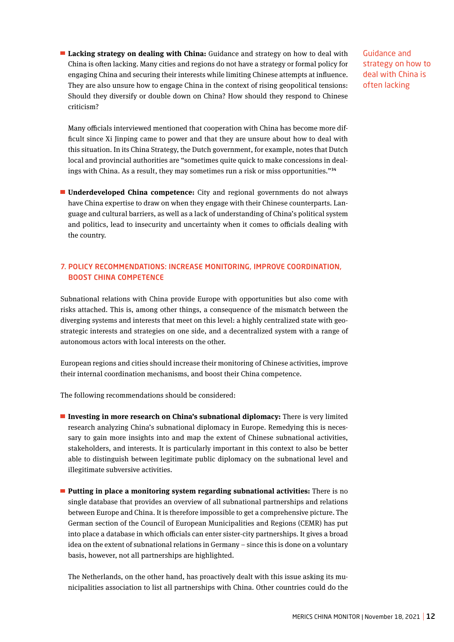**Lacking strategy on dealing with China:** Guidance and strategy on how to deal with China is often lacking. Many cities and regions do not have a strategy or formal policy for engaging China and securing their interests while limiting Chinese attempts at influence. They are also unsure how to engage China in the context of rising geopolitical tensions: Should they diversify or double down on China? How should they respond to Chinese criticism?

Guidance and strategy on how to deal with China is often lacking

Many officials interviewed mentioned that cooperation with China has become more difficult since Xi Jinping came to power and that they are unsure about how to deal with this situation. In its China Strategy, the Dutch government, for example, notes that Dutch local and provincial authorities are "sometimes quite quick to make concessions in dealings with China. As a result, they may sometimes run a risk or miss opportunities."**<sup>34</sup>**

 **Underdeveloped China competence:** City and regional governments do not always have China expertise to draw on when they engage with their Chinese counterparts. Language and cultural barriers, as well as a lack of understanding of China's political system and politics, lead to insecurity and uncertainty when it comes to officials dealing with the country.

## 7. POLICY RECOMMENDATIONS: INCREASE MONITORING, IMPROVE COORDINATION, BOOST CHINA COMPETENCE

Subnational relations with China provide Europe with opportunities but also come with risks attached. This is, among other things, a consequence of the mismatch between the diverging systems and interests that meet on this level: a highly centralized state with geostrategic interests and strategies on one side, and a decentralized system with a range of autonomous actors with local interests on the other.

European regions and cities should increase their monitoring of Chinese activities, improve their internal coordination mechanisms, and boost their China competence.

The following recommendations should be considered:

- **Investing in more research on China's subnational diplomacy:** There is very limited research analyzing China's subnational diplomacy in Europe. Remedying this is necessary to gain more insights into and map the extent of Chinese subnational activities, stakeholders, and interests. It is particularly important in this context to also be better able to distinguish between legitimate public diplomacy on the subnational level and illegitimate subversive activities.
- **Putting in place a monitoring system regarding subnational activities:** There is no single database that provides an overview of all subnational partnerships and relations between Europe and China. It is therefore impossible to get a comprehensive picture. The German section of the Council of European Municipalities and Regions (CEMR) has put into place a database in which officials can enter sister-city partnerships. It gives a broad idea on the extent of subnational relations in Germany – since this is done on a voluntary basis, however, not all partnerships are highlighted.

The Netherlands, on the other hand, has proactively dealt with this issue asking its municipalities association to list all partnerships with China. Other countries could do the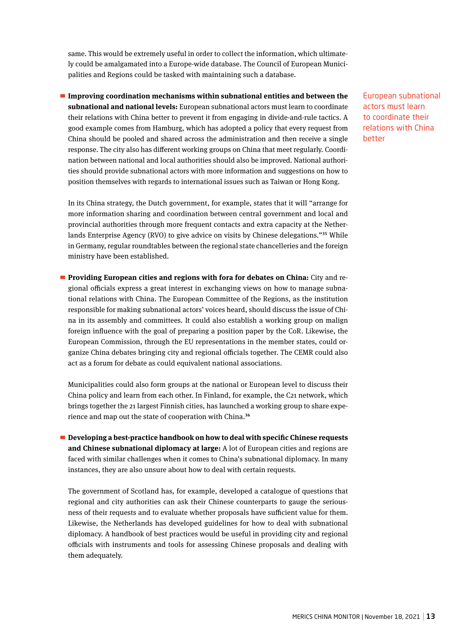same. This would be extremely useful in order to collect the information, which ultimately could be amalgamated into a Europe-wide database. The Council of European Municipalities and Regions could be tasked with maintaining such a database.

 **Improving coordination mechanisms within subnational entities and between the subnational and national levels:** European subnational actors must learn to coordinate their relations with China better to prevent it from engaging in divide-and-rule tactics. A good example comes from Hamburg, which has adopted a policy that every request from China should be pooled and shared across the administration and then receive a single response. The city also has different working groups on China that meet regularly. Coordination between national and local authorities should also be improved. National authorities should provide subnational actors with more information and suggestions on how to position themselves with regards to international issues such as Taiwan or Hong Kong.

In its China strategy, the Dutch government, for example, states that it will "arrange for more information sharing and coordination between central government and local and provincial authorities through more frequent contacts and extra capacity at the Netherlands Enterprise Agency (RVO) to give advice on visits by Chinese delegations."**<sup>35</sup>** While in Germany, regular roundtables between the regional state chancelleries and the foreign ministry have been established.

**Providing European cities and regions with fora for debates on China:** City and regional officials express a great interest in exchanging views on how to manage subnational relations with China. The European Committee of the Regions, as the institution responsible for making subnational actors' voices heard, should discuss the issue of China in its assembly and committees. It could also establish a working group on malign foreign influence with the goal of preparing a position paper by the CoR. Likewise, the European Commission, through the EU representations in the member states, could organize China debates bringing city and regional officials together. The CEMR could also act as a forum for debate as could equivalent national associations.

Municipalities could also form groups at the national or European level to discuss their China policy and learn from each other. In Finland, for example, the C21 network, which brings together the 21 largest Finnish cities, has launched a working group to share experience and map out the state of cooperation with China.**<sup>36</sup>**

**Developing a best-practice handbook on how to deal with specific Chinese requests and Chinese subnational diplomacy at large:** A lot of European cities and regions are faced with similar challenges when it comes to China's subnational diplomacy. In many instances, they are also unsure about how to deal with certain requests.

The government of Scotland has, for example, developed a catalogue of questions that regional and city authorities can ask their Chinese counterparts to gauge the seriousness of their requests and to evaluate whether proposals have sufficient value for them. Likewise, the Netherlands has developed guidelines for how to deal with subnational diplomacy. A handbook of best practices would be useful in providing city and regional officials with instruments and tools for assessing Chinese proposals and dealing with them adequately.

European subnational actors must learn to coordinate their relations with China better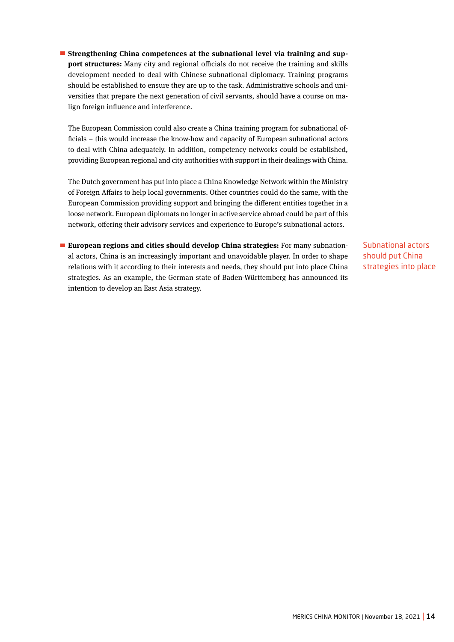**Strengthening China competences at the subnational level via training and support structures:** Many city and regional officials do not receive the training and skills development needed to deal with Chinese subnational diplomacy. Training programs should be established to ensure they are up to the task. Administrative schools and universities that prepare the next generation of civil servants, should have a course on malign foreign influence and interference.

The European Commission could also create a China training program for subnational officials – this would increase the know-how and capacity of European subnational actors to deal with China adequately. In addition, competency networks could be established, providing European regional and city authorities with support in their dealings with China.

The Dutch government has put into place a China Knowledge Network within the Ministry of Foreign Affairs to help local governments. Other countries could do the same, with the European Commission providing support and bringing the different entities together in a loose network. European diplomats no longer in active service abroad could be part of this network, offering their advisory services and experience to Europe's subnational actors.

 **European regions and cities should develop China strategies:** For many subnational actors, China is an increasingly important and unavoidable player. In order to shape relations with it according to their interests and needs, they should put into place China strategies. As an example, the German state of Baden-Württemberg has announced its intention to develop an East Asia strategy.

Subnational actors should put China strategies into place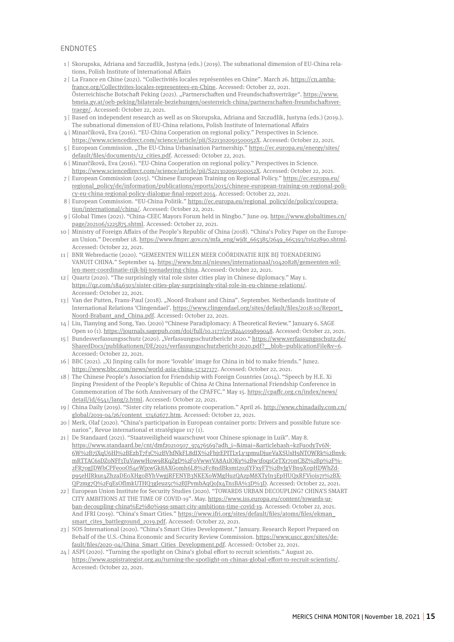## **ENDNOTFS**

- 1 | Skorupska, Adriana and Szczudlik, Justyna (eds.) (2019). The subnational dimension of EU-China relations, Polish Institute of International Affairs
- 2 | La France en Chine (2021). "Collectivités locales représentées en Chine". March 26. https://cn.ambafrance.org/Collectivites-locales-representees-en-Chine. Accessed: October 22, 2021. Österreichische Botschaft Peking (2021). "Partnerschaften und Freundschaftsverträge". https://www. bmeia.gv.at/oeb-peking/bilaterale-beziehungen/oesterreich-china/partnerschaften-freundschaftsvertraege/. Accessed: October 22, 2021.
- 3 | Based on independent research as well as on Skorupska, Adriana and Szczudlik, Justyna (eds.) (2019.). The subnational dimension of EU-China relations, Polish Institute of International Affairs
- 4 | Minarčíková, Eva (2016). "EU-China Cooperation on regional policy." Perspectives in Science. https://www.sciencedirect.com/science/article/pii/S221302091500052X. Accessed: October 22, 2021.
- 5 | European Commission. "The EU-China Urbanisation Partnership." https://ec.europa.eu/energy/sites/ default/files/documents/12\_cities.pdf. Accessed: October 22, 2021.
- 6 | Minarčíková, Eva (2016). "EU-China Cooperation on regional policy." Perspectives in Science. https://www.sciencedirect.com/science/article/pii/S221302091500052X. Accessed: October 22, 2021.
- 7 | European Commission (2015). "Chinese European Training on Regional Policy." https://ec.europa.eu/ regional\_policy/de/information/publications/reports/2015/chinese-european-training-on-regional-policy-eu-china-regional-policy-dialogue-final-report-2014. Accessed: October 22, 2021.
- 8 | European Commission. "EU-China Politik." https://ec.europa.eu/regional\_policy/de/policy/cooperation/international/china/. Accessed: October 22, 2021.
- 9 | Global Times (2021). "China-CEEC Mayors Forum held in Ningbo." June 09. https://www.globaltimes.cn/ page/202106/1225875.shtml. Accessed: October 22, 2021.
- 10 | Ministry of Foreign Affairs of the People's Republic of China (2018). "China's Policy Paper on the European Union." December 18. https://www.fmprc.gov.cn/mfa\_eng/wjdt\_665385/2649\_665393/t1622890.shtml. Accessed: October 22, 2021.
- 11 | BNR Webredactie (2020). "GEMEENTEN WILLEN MEER COÖRDINATIE RIJK BIJ TOENADERING VANUIT CHINA." September 14. https://www.bnr.nl/nieuws/internationaal/10420828/gemeenten-willen-meer-coordinatie-rijk-bij-toenadering-china. Accessed: October 22, 2021.
- 12 | Quartz (2020). "The surprisingly vital role sister cities play in Chinese diplomacy." May 1. https://qz.com/1846303/sister-cities-play-surprisingly-vital-role-in-eu-chinese-relations/. Accessed: October 22, 2021.
- 13 | Van der Putten, Frans-Paul (2018). "Noord-Brabant and China". September. Netherlands Institute of International Relations 'Clingendael'. https://www.clingendael.org/sites/default/files/2018-10/Report\_ Noord-Brabant\_and\_China.pdf. Accessed: October 22, 2021.
- 14 | Liu, Tianying and Song, Yao. (2020) "Chinese Paradiplomacy: A Theoretical Review." January 6. SAGE Open 10 (1). https://journals.sagepub.com/doi/full/10.1177/2158244019899048. Accessed: October 22, 2021.
- 15 | Bundesverfassungsschutz (2020). "Verfassungsschutzbericht 2020." https://www.verfassungsschutz.de/ SharedDocs/publikationen/DE/2021/verfassungsschutzbericht-2020.pdf?\_\_blob=publicationFile&v=6. Accessed: October 22, 2021.
- 16 | BBC (2021). "Xi Jinping calls for more 'lovable' image for China in bid to make friends." June2. https://www.bbc.com/news/world-asia-china-57327177. Accessed: October 22, 2021.
- 18 | The Chinese People's Association for Friendship with Foreign Countries (2014). "Speech by H.E. Xi Jinping President of the People's Republic of China At China International Friendship Conference in Commemoration of The 60th Anniversary of the CPAFFC." May 15. https://cpaffc.org.cn/index/news/ detail/id/6541/lang/2.html. Accessed: October 22, 2021.
- 19 | China Daily (2019). "Sister city relations promote cooperation." April 26. http://www.chinadaily.com.cn/ global/2019-04/26/content\_37462677.htm. Accessed: October 22, 2021.
- 20 | Merk, Olaf (2020). "China's participation in European container ports: Drivers and possible future scenarios", Revue international et stratégique 117 (1).
- 21 | De Standaard (2021). "Staatsveiligheid waarschuwt voor Chinese spionage in Luik". May 8. https://www.standaard.be/cnt/dmf20210507\_97476569?adh\_i=&imai=&articlehash=kzFu0dyTv6N-6W%2B7jXqU6Hl%2BEzhT7f3C%2BVhfNkFL8dIX%2FbjrEPITLvLy3pmuDjueVaXSUsH9NTOWRk%2BnvkmRTTAC6sDZ0NFf3TuVawwH0w9RKqZgD%2F0VwwrVA8A1lOKy%2Bw3foqsCeTXr70nCBZ%2Bp%2F%- 2FR7ogJDWbCPFeooOS4eWjxwGk8AXG0mh6L8%2Fc8ndBksmt2o2lYFxyFT%2BvJgVBn9X0pHDWhZdp95eHJRkur4ZhzaDE0XHg0BYhVwgjRFENYB3NKEX0WMgHuzQAzpM8XTyIn3EpHUQxRFVi0is7r%2BX-QP2mg7Q%2FqEsOfImkUTHQ3gleuz5c%2BJPvmbAqQoJx4Tn1BA%3D%3D. Accessed: October 22, 2021.
- 22 | European Union Institute for Security Studies (2020). "TOWARDS URBAN DECOUPLING? CHINA'S SMART CITY AMBITIONS AT THE TIME OF COVID-19". May. https://www.iss.europa.eu/content/towards-urban-decoupling-china%E2%80%99s-smart-city-ambitions-time-covid-19. Accessed: October 22, 2021. And IFRI (2019). "China's Smart Cities." https://www.ifri.org/sites/default/files/atoms/files/ekman\_ smart\_cites\_battleground\_2019.pdf. Accessed: October 22, 2021.
- 23 | SOS International (2020). "China's Smart Cities Development." January. Research Report Prepared on Behalf of the U.S.-China Economic and Security Review Commission. https://www.uscc.gov/sites/default/files/2020-04/China\_Smart\_Cities\_Development.pdf. Accessed: October 22, 2021.
- 24 | ASPI (2020). "Turning the spotlight on China's global effort to recruit scientists." August 20. https://www.aspistrategist.org.au/turning-the-spotlight-on-chinas-global-effort-to-recruit-scientists/. Accessed: October 22, 2021.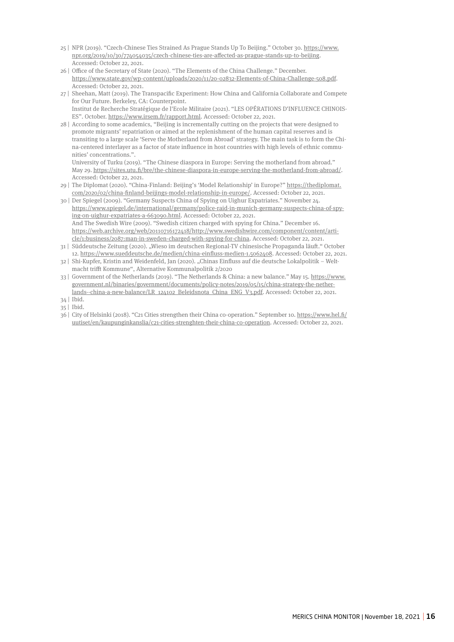- 25 | NPR (2019). "Czech-Chinese Ties Strained As Prague Stands Up To Beijing." October 30. https://www. npr.org/2019/10/30/774054035/czech-chinese-ties-are-affected-as-prague-stands-up-to-beijing. Accessed: October 22, 2021.
- 26 | Office of the Secretary of State (2020). "The Elements of the China Challenge." December. https://www.state.gov/wp-content/uploads/2020/11/20-02832-Elements-of-China-Challenge-508.pdf. Accessed: October 22, 2021.
- 27 | Sheehan, Matt (2019). The Transpacific Experiment: How China and California Collaborate and Compete for Our Future. Berkeley, CA: Counterpoint. Institut de Recherche Stratégique de l'Ecole Militaire (2021). "LES OPÉRATIONS D'INFLUENCE CHINOIS-
- ES". October. https://www.irsem.fr/rapport.html. Accessed: October 22, 2021. 28 | According to some academics, "Beijing is incrementally cutting on the projects that were designed to promote migrants' repatriation or aimed at the replenishment of the human capital reserves and is transiting to a large scale 'Serve the Motherland from Abroad' strategy. The main task is to form the China-centered interlayer as a factor of state influence in host countries with high levels of ethnic communities' concentrations.".

University of Turku (2019). "The Chinese diaspora in Europe: Serving the motherland from abroad." May 29. https://sites.utu.fi/bre/the-chinese-diaspora-in-europe-serving-the-motherland-from-abroad/. Accessed: October 22, 2021.

29 | The Diplomat (2020). "China-Finland: Beijing's 'Model Relationship' in Europe?" https://thediplomat. com/2020/02/china-finland-beijings-model-relationship-in-europe/. Accessed: October 22, 2021.

30 | Der Spiegel (2009). "Germany Suspects China of Spying on Uighur Expatriates." November 24. https://www.spiegel.de/international/germany/police-raid-in-munich-germany-suspects-china-of-spying-on-uighur-expatriates-a-663090.html. Accessed: October 22, 2021. And The Swedish Wire (2009). "Swedish citizen charged with spying for China." December 16. https://web.archive.org/web/20110716172418/http://www.swedishwire.com/component/content/article/1:business/2087:man-in-sweden-charged-with-spying-for-china. Accessed: October 22, 2021. 31 | Süddeutsche Zeitung (2020). "Wieso im deutschen Regional-TV chinesische Propaganda läuft." October

- 12. https://www.sueddeutsche.de/medien/china-einfluss-medien-1.5062408. Accessed: October 22, 2021.
- 32 | Shi-Kupfer, Kristin and Weidenfeld, Jan (2020). "Chinas Einfluss auf die deutsche Lokalpolitik Weltmacht trifft Kommune", Alternative Kommunalpolitik 2/2020

33 | Government of the Netherlands (2019). "The Netherlands & China: a new balance." May 15. https://www. government.nl/binaries/government/documents/policy-notes/2019/05/15/china-strategy-the-netherlands--china-a-new-balance/LR\_124102\_Beleidsnota\_China\_ENG\_V3.pdf. Accessed: October 22, 2021.

<sup>34 |</sup> Ibid. 35 | Ibid.

<sup>36 |</sup> City of Helsinki (2018). "C21 Cities strengthen their China co-operation." September 10. https://www.hel.fi/ uutiset/en/kaupunginkanslia/c21-cities-strenghten-their-china-co-operation. Accessed: October 22, 2021.